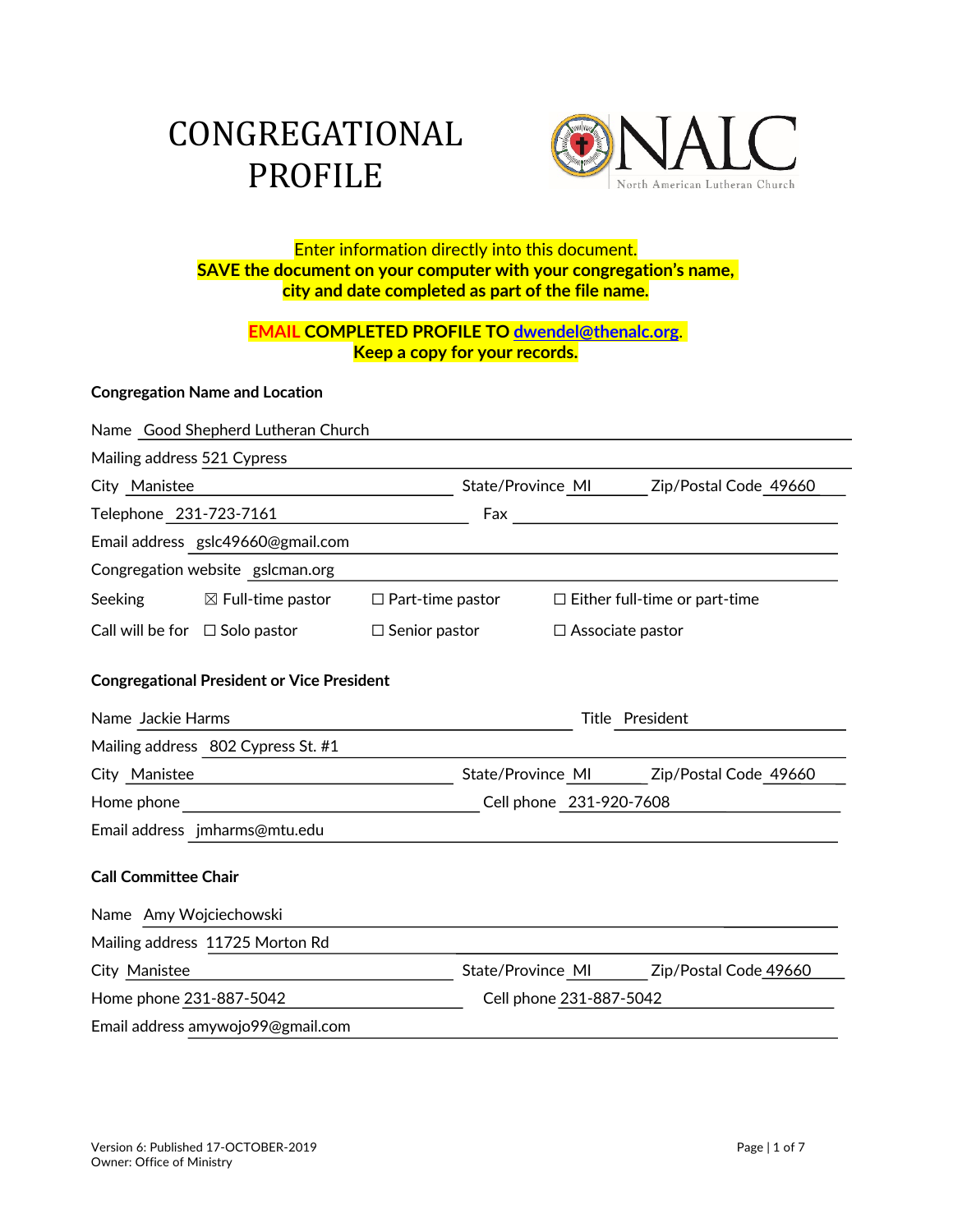# CONGREGATIONAL PROFILE



# Enter information directly into this document. **SAVE the document on your computer with your congregation's name, city and date completed as part of the file name.**

# **EMAIL COMPLETED PROFILE TO dwendel@thenalc.org**. **Keep a copy for your records.**

#### **Congregation Name and Location**

|                                                                                                                                                                                                                                | Name Good Shepherd Lutheran Church                |                         |                                         |                                             |  |
|--------------------------------------------------------------------------------------------------------------------------------------------------------------------------------------------------------------------------------|---------------------------------------------------|-------------------------|-----------------------------------------|---------------------------------------------|--|
| Mailing address 521 Cypress                                                                                                                                                                                                    |                                                   |                         |                                         |                                             |  |
| City Manistee                                                                                                                                                                                                                  |                                                   |                         | State/Province MI                       | Zip/Postal Code 49660                       |  |
| Telephone 231-723-7161                                                                                                                                                                                                         |                                                   | Fax                     |                                         | <u> 1980 - Jan Samuel Barbara, martin a</u> |  |
|                                                                                                                                                                                                                                | Email address gslc49660@gmail.com                 |                         |                                         |                                             |  |
|                                                                                                                                                                                                                                | Congregation website gslcman.org                  |                         |                                         |                                             |  |
| <b>Seeking</b>                                                                                                                                                                                                                 | $\boxtimes$ Full-time pastor                      | $\Box$ Part-time pastor |                                         | $\Box$ Either full-time or part-time        |  |
|                                                                                                                                                                                                                                | Call will be for $\Box$ Solo pastor               | $\Box$ Senior pastor    | $\Box$ Associate pastor                 |                                             |  |
|                                                                                                                                                                                                                                | <b>Congregational President or Vice President</b> |                         |                                         |                                             |  |
| Name Jackie Harms                                                                                                                                                                                                              |                                                   |                         | Title President                         |                                             |  |
|                                                                                                                                                                                                                                | Mailing address 802 Cypress St. #1                |                         |                                         |                                             |  |
| City Manistee                                                                                                                                                                                                                  |                                                   |                         | State/Province MI Zip/Postal Code 49660 |                                             |  |
| Home phone that the contract of the contract of the contract of the contract of the contract of the contract of the contract of the contract of the contract of the contract of the contract of the contract of the contract o |                                                   |                         | Cell phone 231-920-7608                 |                                             |  |
|                                                                                                                                                                                                                                | Email address jmharms@mtu.edu                     |                         |                                         |                                             |  |
| <b>Call Committee Chair</b>                                                                                                                                                                                                    |                                                   |                         |                                         |                                             |  |
| Name Amy Wojciechowski                                                                                                                                                                                                         |                                                   |                         |                                         |                                             |  |
|                                                                                                                                                                                                                                | Mailing address 11725 Morton Rd                   |                         |                                         |                                             |  |
| City Manistee                                                                                                                                                                                                                  |                                                   |                         | State/Province MI                       | Zip/Postal Code 49660                       |  |
| Home phone 231-887-5042                                                                                                                                                                                                        |                                                   |                         | Cell phone 231-887-5042                 |                                             |  |
|                                                                                                                                                                                                                                | Email address amywojo99@gmail.com                 |                         |                                         |                                             |  |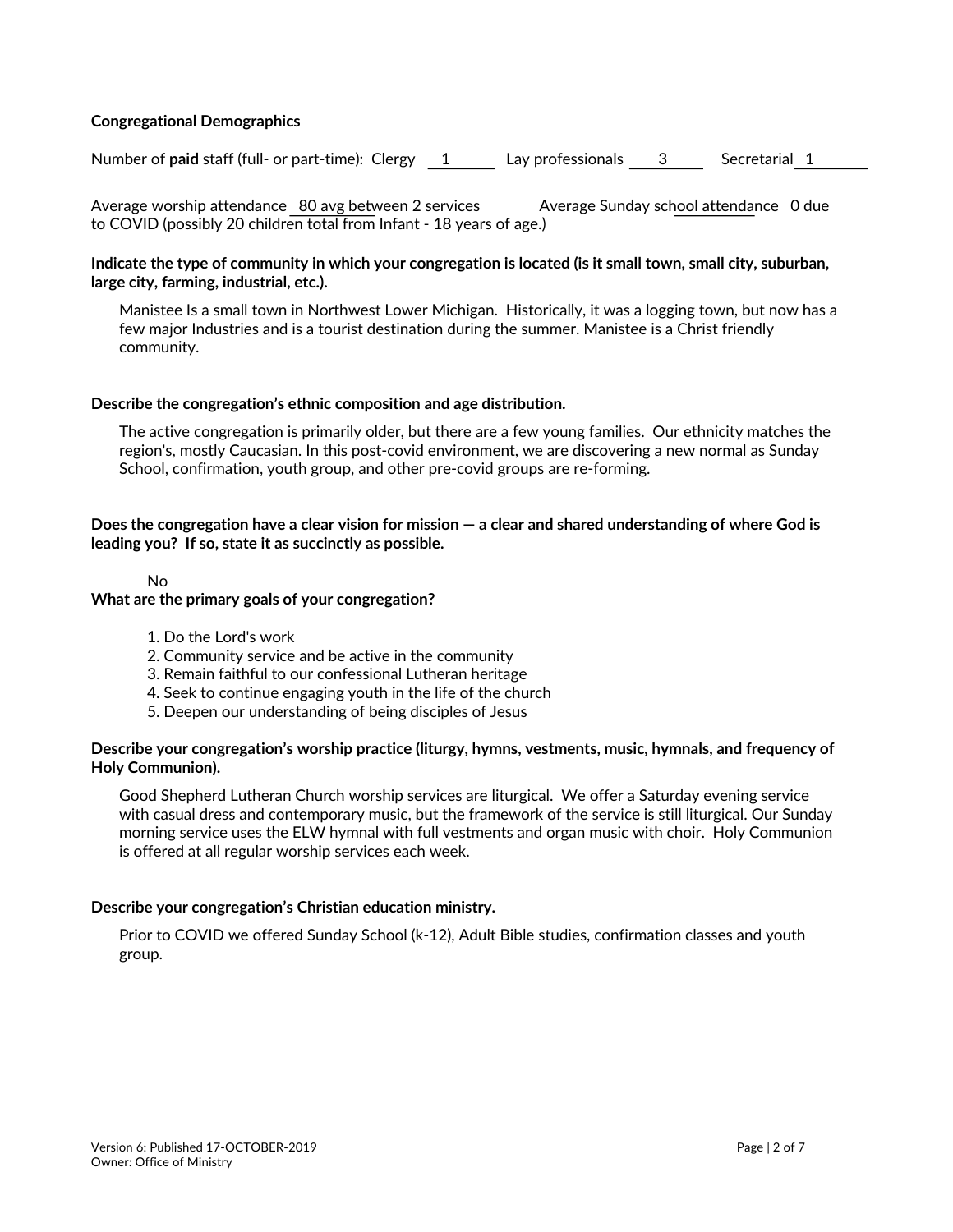#### **Congregational Demographics**

Number of **paid** staff (full- or part-time): Clergy 1 Lay professionals 3 Secretarial 1

Average worship attendance 80 avg between 2 services Average Sunday school attendance 0 due to COVID (possibly 20 children total from Infant - 18 years of age.)

#### **Indicate the type of community in which your congregation is located (is it small town, small city, suburban, large city, farming, industrial, etc.).**

Manistee Is a small town in Northwest Lower Michigan. Historically, it was a logging town, but now has a few major Industries and is a tourist destination during the summer. Manistee is a Christ friendly community.

#### **Describe the congregation's ethnic composition and age distribution.**

The active congregation is primarily older, but there are a few young families. Our ethnicity matches the region's, mostly Caucasian. In this post-covid environment, we are discovering a new normal as Sunday School, confirmation, youth group, and other pre-covid groups are re-forming.

#### **Does the congregation have a clear vision for mission — a clear and shared understanding of where God is leading you? If so, state it as succinctly as possible.**

#### No

#### **What are the primary goals of your congregation?**

- 1. Do the Lord's work
- 2. Community service and be active in the community
- 3. Remain faithful to our confessional Lutheran heritage
- 4. Seek to continue engaging youth in the life of the church
- 5. Deepen our understanding of being disciples of Jesus

#### **Describe your congregation's worship practice (liturgy, hymns, vestments, music, hymnals, and frequency of Holy Communion).**

Good Shepherd Lutheran Church worship services are liturgical. We offer a Saturday evening service with casual dress and contemporary music, but the framework of the service is still liturgical. Our Sunday morning service uses the ELW hymnal with full vestments and organ music with choir. Holy Communion is offered at all regular worship services each week.

#### **Describe your congregation's Christian education ministry.**

Prior to COVID we offered Sunday School (k-12), Adult Bible studies, confirmation classes and youth group.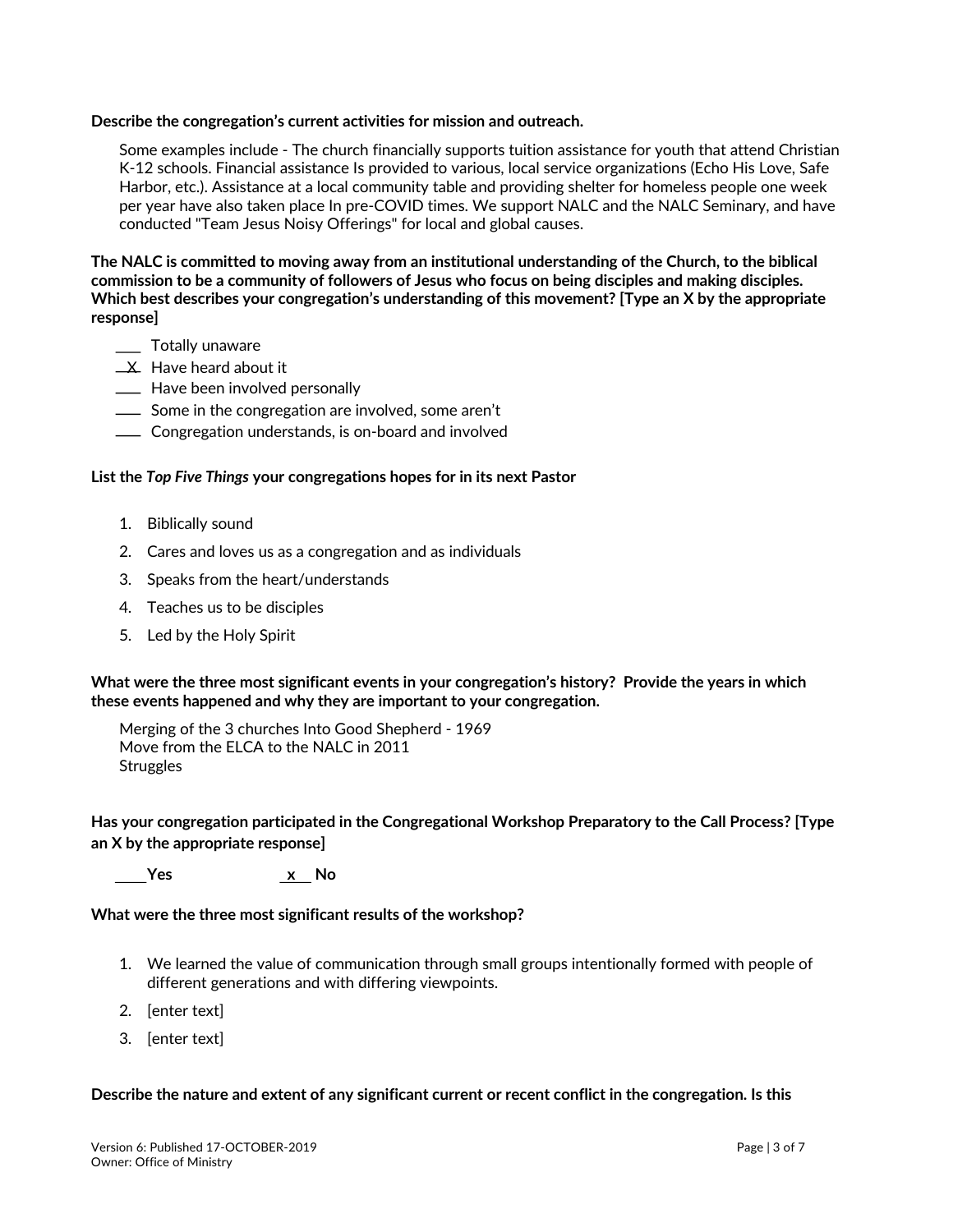#### **Describe the congregation's current activities for mission and outreach.**

Some examples include - The church financially supports tuition assistance for youth that attend Christian K-12 schools. Financial assistance Is provided to various, local service organizations (Echo His Love, Safe Harbor, etc.). Assistance at a local community table and providing shelter for homeless people one week per year have also taken place In pre-COVID times. We support NALC and the NALC Seminary, and have conducted "Team Jesus Noisy Offerings" for local and global causes.

**The NALC is committed to moving away from an institutional understanding of the Church, to the biblical commission to be a community of followers of Jesus who focus on being disciples and making disciples. Which best describes your congregation's understanding of this movement? [Type an X by the appropriate response]**

- \_\_\_ Totally unaware
- **X** Have heard about it
- **Example 20** Have been involved personally
- Some in the congregation are involved, some aren't
- **Congregation understands, is on-board and involved**

#### **List the** *Top Five Things* **your congregations hopes for in its next Pastor**

- 1. Biblically sound
- 2. Cares and loves us as a congregation and as individuals
- 3. Speaks from the heart/understands
- 4. Teaches us to be disciples
- 5. Led by the Holy Spirit

**What were the three most significant events in your congregation's history? Provide the years in which these events happened and why they are important to your congregation.**

Merging of the 3 churches Into Good Shepherd - 1969 Move from the ELCA to the NALC in 2011 **Struggles** 

**Has your congregation participated in the Congregational Workshop Preparatory to the Call Process? [Type an X by the appropriate response]**

 **Yes x No**

**What were the three most significant results of the workshop?**

- 1. We learned the value of communication through small groups intentionally formed with people of different generations and with differing viewpoints.
- 2. [enter text]
- 3. [enter text]

#### **Describe the nature and extent of any significant current or recent conflict in the congregation. Is this**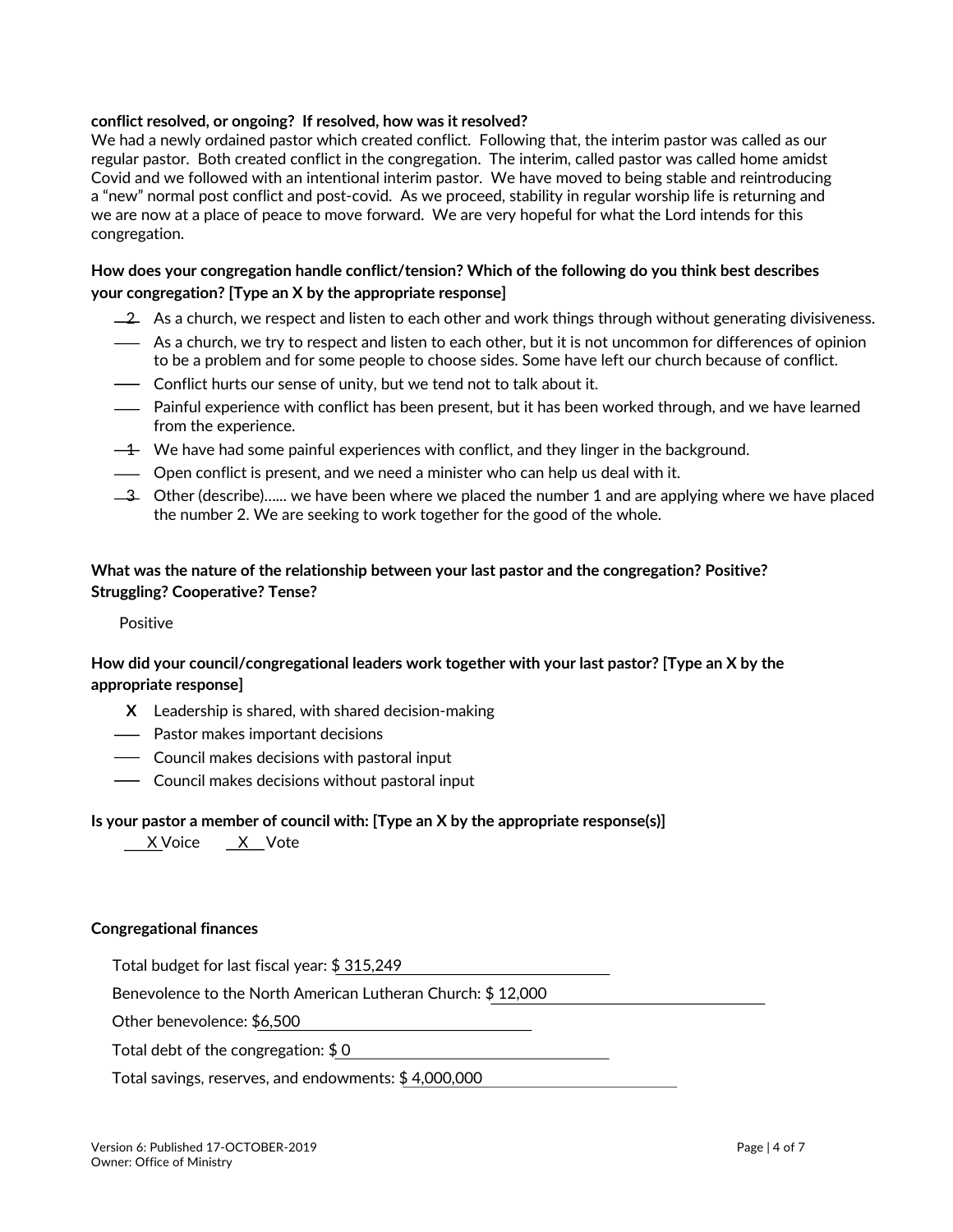#### **conflict resolved, or ongoing? If resolved, how was it resolved?**

We had a newly ordained pastor which created conflict. Following that, the interim pastor was called as our regular pastor. Both created conflict in the congregation. The interim, called pastor was called home amidst Covid and we followed with an intentional interim pastor. We have moved to being stable and reintroducing a "new" normal post conflict and post-covid. As we proceed, stability in regular worship life is returning and we are now at a place of peace to move forward. We are very hopeful for what the Lord intends for this congregation.

### **How does your congregation handle conflict/tension? Which of the following do you think best describes your congregation? [Type an X by the appropriate response]**

- $-2$  As a church, we respect and listen to each other and work things through without generating divisiveness.
- As a church, we try to respect and listen to each other, but it is not uncommon for differences of opinion to be a problem and for some people to choose sides. Some have left our church because of conflict.
- Conflict hurts our sense of unity, but we tend not to talk about it.
- Painful experience with conflict has been present, but it has been worked through, and we have learned from the experience.
- $-4$  We have had some painful experiences with conflict, and they linger in the background.
- Open conflict is present, and we need a minister who can help us deal with it.
- $-3$  Other (describe)...... we have been where we placed the number 1 and are applying where we have placed the number 2. We are seeking to work together for the good of the whole.

#### **What was the nature of the relationship between your last pastor and the congregation? Positive? Struggling? Cooperative? Tense?**

#### Positive

## **How did your council/congregational leaders work together with your last pastor? [Type an X by the appropriate response]**

- **X** Leadership is shared, with shared decision-making
- Pastor makes important decisions
- Council makes decisions with pastoral input
- Council makes decisions without pastoral input

#### **Is your pastor a member of council with: [Type an X by the appropriate response(s)]**

X Voice X Vote

#### **Congregational finances**

Total budget for last fiscal year: \$ 315,249

Benevolence to the North American Lutheran Church: \$ 12,000

Other benevolence: \$6,500

Total debt of the congregation: \$ 0

Total savings, reserves, and endowments: \$ 4,000,000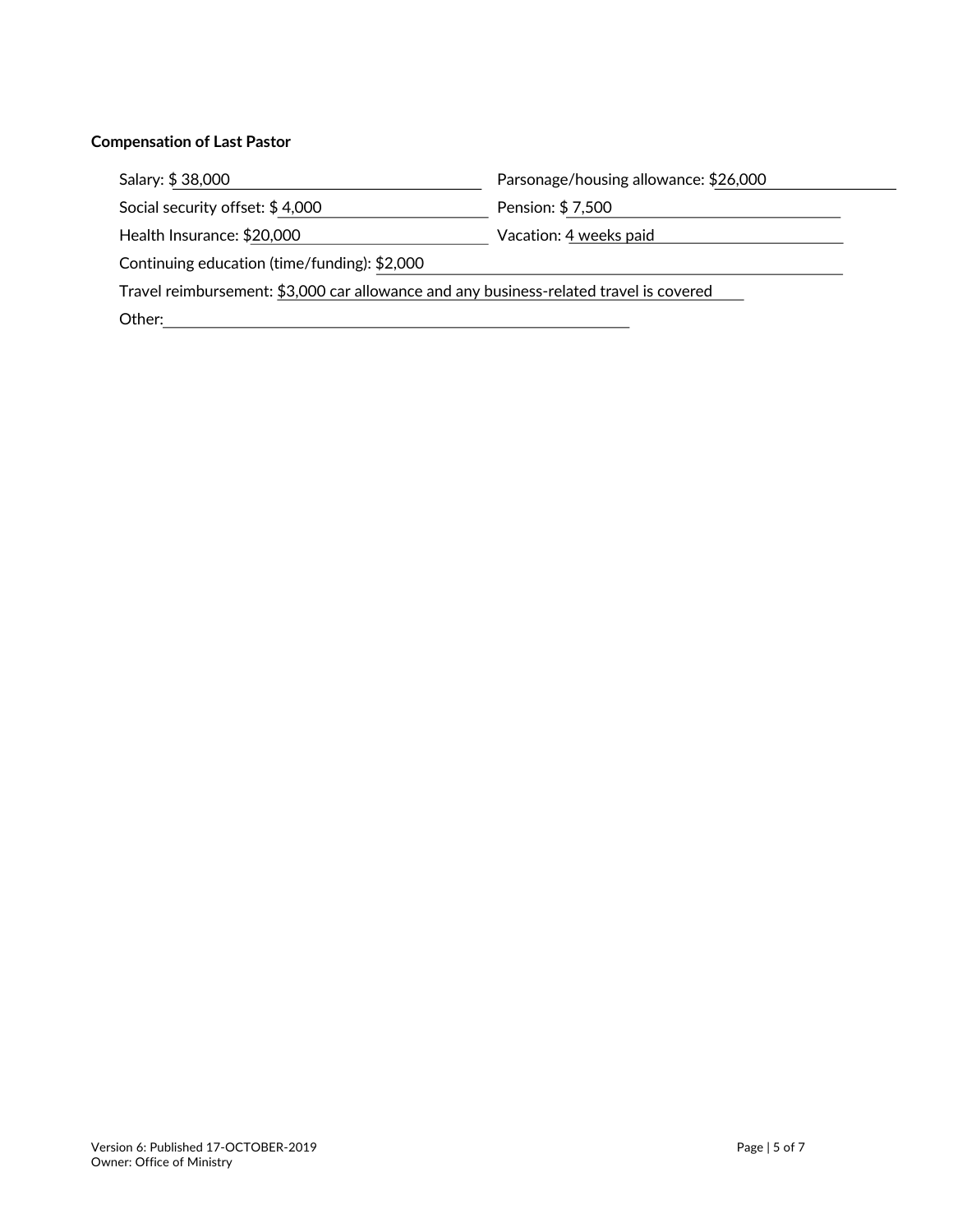#### **Compensation of Last Pastor**

Social security offset: \$4,000 Pension: \$7,500

Salary: \$ 38,000 Parsonage/housing allowance: \$26,000

<u> 1980 - Johann Barbara, martxa a</u>

Health Insurance: \$20,000 Macrobian Vacation: 4 weeks paid

Continuing education (time/funding): \$2,000

Travel reimbursement: \$3,000 car allowance and any business-related travel is covered

Other: with the contract of the contract of the contract of the contract of the contract of the contract of the contract of the contract of the contract of the contract of the contract of the contract of the contract of th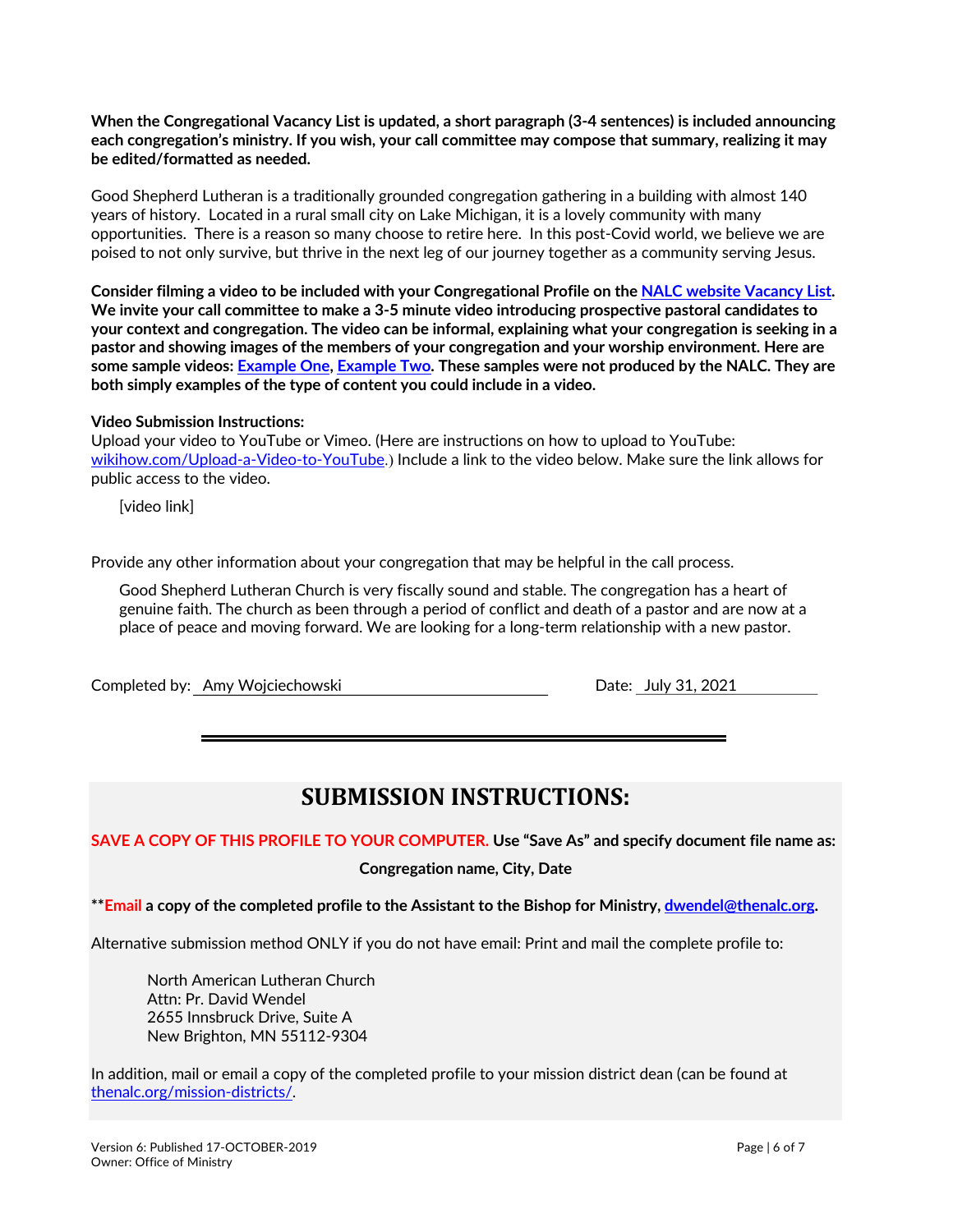**When the Congregational Vacancy List is updated, a short paragraph (3-4 sentences) is included announcing each congregation's ministry. If you wish, your call committee may compose that summary, realizing it may be edited/formatted as needed.**

Good Shepherd Lutheran is a traditionally grounded congregation gathering in a building with almost 140 years of history. Located in a rural small city on Lake Michigan, it is a lovely community with many opportunities. There is a reason so many choose to retire here. In this post-Covid world, we believe we are poised to not only survive, but thrive in the next leg of our journey together as a community serving Jesus.

**Consider filming a video to be included with your Congregational Profile on the NALC website Vacancy List. We invite your call committee to make a 3-5 minute video introducing prospective pastoral candidates to your context and congregation. The video can be informal, explaining what your congregation is seeking in a pastor and showing images of the members of your congregation and your worship environment. Here are some sample videos: Example One, Example Two. These samples were not produced by the NALC. They are both simply examples of the type of content you could include in a video.**

#### **Video Submission Instructions:**

Upload your video to YouTube or Vimeo. (Here are instructions on how to upload to YouTube: wikihow.com/Upload-a-Video-to-YouTube.) Include a link to the video below. Make sure the link allows for public access to the video.

[video link]

Provide any other information about your congregation that may be helpful in the call process.

Good Shepherd Lutheran Church is very fiscally sound and stable. The congregation has a heart of genuine faith. The church as been through a period of conflict and death of a pastor and are now at a place of peace and moving forward. We are looking for a long-term relationship with a new pastor.

Completed by: Amy Wojciechowski **Date: July 31, 2021** 

# **SUBMISSION INSTRUCTIONS:**

**SAVE A COPY OF THIS PROFILE TO YOUR COMPUTER. Use "Save As" and specify document file name as:**

#### **Congregation name, City, Date**

**\*\*Email a copy of the completed profile to the Assistant to the Bishop for Ministry, dwendel@thenalc.org.**

Alternative submission method ONLY if you do not have email: Print and mail the complete profile to:

North American Lutheran Church Attn: Pr. David Wendel 2655 Innsbruck Drive, Suite A New Brighton, MN 55112-9304

In addition, mail or email a copy of the completed profile to your mission district dean (can be found at thenalc.org/mission-districts/.